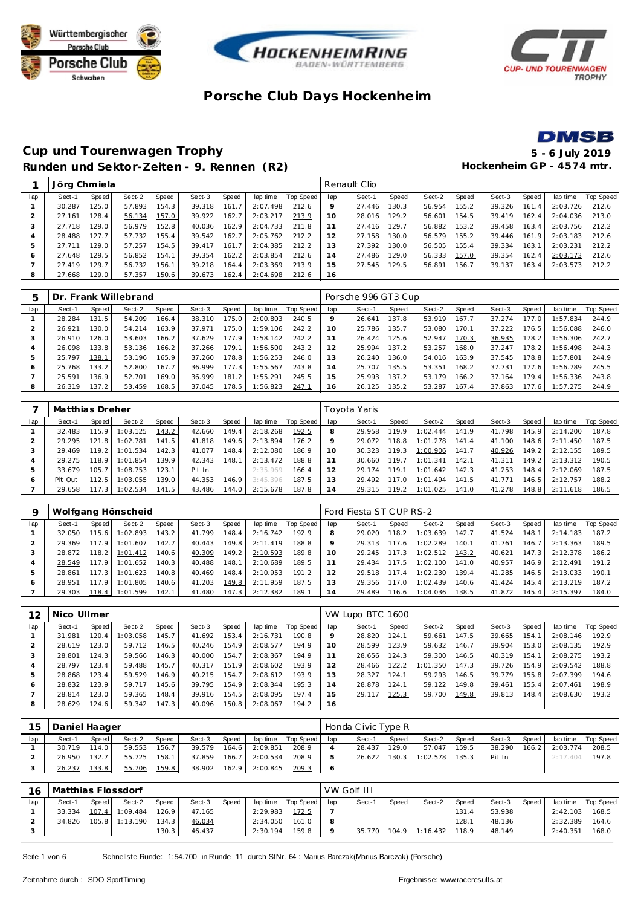







### **Cup und Tourenwagen Trophy 5 - 6 July 2019** Runden und Sektor-Zeiten - 9. Rennen (R2) **Hockenheim GP** - 4574 mtr.

|     | Jörg Chmiela |                    |        |       |        |       |          |           |                 | Renault Clio |       |        |       |        |       |          |           |
|-----|--------------|--------------------|--------|-------|--------|-------|----------|-----------|-----------------|--------------|-------|--------|-------|--------|-------|----------|-----------|
| lap | Sect-1       | Speed              | Sect-2 | Speed | Sect-3 | Speed | lap time | Top Speed | lap             | Sect-1       | Speed | Sect-2 | Speed | Sect-3 | Speed | lap time | Top Speed |
|     | 30.287       | 125.0              | 57.893 | 154.3 | 39.318 | 161.7 | 2:07.498 | 212.6     |                 | 27.446       | 130.3 | 56.954 | 155.2 | 39.326 | 161.4 | 2:03.726 | 212.6     |
|     | 27.161       | 128.4              | 56.134 | 157.0 | 39.922 | 162.7 | 2:03.217 | 213.9     | 10 <sup>°</sup> | 28.016       | 129.2 | 56.601 | 154.5 | 39.419 | 162.4 | 2:04.036 | 213.0     |
|     | 27.718       | 129.0 <sub>1</sub> | 56.979 | 152.8 | 40.036 | 162.9 | 2:04.733 | 211.8     |                 | 27.416       | 129.7 | 56.882 | 153.2 | 39.458 | 163.4 | 2:03.756 | 212.2     |
| 4   | 28.488       | 127.7              | 57.732 | 155.4 | 39.542 | 162.7 | 2:05.762 | 212.2     |                 | 27.158       | 130.0 | 56.579 | 155.2 | 39.446 | 161.9 | 2:03.183 | 212.6     |
| 5   | 27.711       | 129.0              | 57.257 | 154.5 | 39.417 | 161.7 | 2:04.385 | 212.2     | 13              | 27.392       | 130.0 | 56.505 | 155.4 | 39.334 | 163.1 | 2:03.231 | 212.2     |
| O   | 27.648       | 129.5              | 56.852 | 154.1 | 39.354 | 162.2 | 2:03.854 | 212.6     | $\overline{4}$  | 27.486       | 129.0 | 56.333 | 157.0 | 39.354 | 162.4 | 2:03.173 | 212.6     |
|     | 27.419       | 129.7              | 56.732 | 156.1 | 39.218 | 164.4 | 2:03.369 | 213.9     | 15              | 27.545       | 129.5 | 56.891 | 156.7 | 39.137 | 163.4 | 2:03.573 | 212.2     |
| 8   | 27.668       | 129.0              | 57.357 | 150.6 | 39.673 | 162.4 | 2:04.698 | 212.6     | 16              |              |       |        |       |        |       |          |           |
|     |              |                    |        |       |        |       |          |           |                 |              |       |        |       |        |       |          |           |

|     | Dr.    |       | <b>Frank Willebrand</b> |       |        |       |          |           |                | Porsche 996 GT3 Cup |       |        |       |        |       |          |           |
|-----|--------|-------|-------------------------|-------|--------|-------|----------|-----------|----------------|---------------------|-------|--------|-------|--------|-------|----------|-----------|
| lap | Sect-1 | Speed | Sect-2                  | Speed | Sect-3 | Speed | lap time | Top Speed | lap            | Sect-1              | Speed | Sect-2 | Speed | Sect-3 | Speed | lap time | Top Speed |
|     | 28.284 | 131.5 | 54.209                  | 166.4 | 38.310 | 175.0 | 2:00.803 | 240.5     |                | 26.641              | 137.8 | 53.919 | 167.7 | 37.274 | 77.0  | :57.834  | 244.9     |
|     | 26.921 | 130.0 | 54.214                  | 163.9 | 37.971 | 175.0 | 1:59.106 | 242.2     |                | 25.786              | 135.7 | 53.080 | 170.  | 37.222 | 76.5  | : 56.088 | 246.0     |
|     | 26.910 | 126.0 | 53.603                  | 166.2 | 37.629 | 177.9 | 1:58.142 | 242.2     |                | 26.424              | 125.6 | 52.947 | 170.3 | 36.935 | 78.2  | : 56.306 | 242.7     |
|     | 26.098 | 133.8 | 53.136                  | 166.2 | 37.266 | 179.1 | 1:56.500 | 243.2     |                | 25.994              | 137.2 | 53.257 | 168.0 | 37.247 | 78.2  | : 56.498 | 244.3     |
|     | 25.797 | 138.1 | 53.196                  | 165.9 | 37.260 | 178.8 | 1:56.253 | 246.0     | 3              | 26.240              | 136.0 | 54.016 | 163.9 | 37.545 | 78.8  | : 57.801 | 244.9     |
| 6   | 25.768 | 133.2 | 52.800                  | 167.7 | 36.999 | 177.3 | 1:55.567 | 243.8     | $\overline{A}$ | 25.707              | 135.5 | 53.351 | 168.2 | 37.731 | 177.6 | :56.789  | 245.5     |
|     | 25.591 | 136.9 | 52.701                  | 169.0 | 36.999 | 181.2 | 1:55.291 | 245.5     | $5^{\circ}$    | 25.993              | 137.2 | 53.179 | 166.2 | 37.164 | 79.4  | :56.336  | 243.8     |
| 8   | 26.319 | 137.2 | 53.459                  | 168.5 | 37.045 | 178.5 | 1:56.823 | 247.1     | 16             | 26.125              | 135.2 | 53.287 | 167.4 | 37.863 | 177.6 | :57.275  | 244.9     |

|         | Matthias Dreher |       |          |       |        |       |          |           |                 | Toyota Yaris |       |          |        |        |       |          |                  |
|---------|-----------------|-------|----------|-------|--------|-------|----------|-----------|-----------------|--------------|-------|----------|--------|--------|-------|----------|------------------|
| lap     | Sect-1          | Speed | Sect-2   | Speed | Sect-3 | Speed | lap time | Top Speed | lap             | Sect-1       | Speed | Sect-2   | Speed  | Sect-3 | Speed | lap time | <b>Top Speed</b> |
|         | 32.483          | 115.9 | 1:03.125 | 143.2 | 42.660 | 149.4 | 2:18.268 | 192.5     | 8               | 29.958       | 119.9 | 1:02.444 | 141.9  | 41.798 | 145.9 | 2:14.200 | 187.8            |
|         | 29.295          | 121.8 | 1:02.781 | 141.5 | 41.818 | 149.6 | 2:13.894 | 176.2     |                 | 29.072       | 118.8 | 1:01.278 | 141.4  | 41.100 | 148.6 | 2:11.450 | 187.5            |
| 3       | 29.469          | 119.2 | 1:01.534 | 142.3 | 41.077 | 148.4 | 2:12.080 | 186.9     | 10 <sup>°</sup> | 30.323       | 119.3 | 1:00.906 | 141.7  | 40.926 | 149.2 | 2:12.155 | 189.5            |
| 4       | 29.275          | 118.9 | 1:01.854 | 139.9 | 42.343 | 148.1 | 2:13.472 | 188.8     |                 | 30.660       | 119.7 | 1:01.341 | 142.1  | 41.311 | 149.2 | 2:13.312 | 190.5            |
| 5       | 33.679          | 105.7 | 1:08.753 | 123.1 | Pit In |       | 2:35.969 | 166.4     |                 | 29.174       | 119.1 | 1:01.642 | 142.31 | 41.253 | 148.4 | 2:12.069 | 187.5            |
| $\circ$ | Pit Out         | 112.5 | 1:03.055 | 139.0 | 44.353 | 146.9 | 3:45.396 | 187.5     | 3               | 29.492       | 117.0 | 1:01.494 | 141.5  | 41.771 | 146.5 | 2:12.757 | 188.2            |
|         | 29.658          | 117.3 | 1:02.534 | 141.5 | 43.486 | 144.0 | 2:15.678 | 187.8     | $\overline{4}$  | 29.315       | 119.2 | 1:01.025 | 141.0  | 41.278 | 148.8 | 2:11.618 | 186.5            |

|     |        |        | Wolfgang Hönscheid |       |        |       |          |           |     | Ford Fiesta ST CUP RS-2 |       |          |        |        |       |          |           |
|-----|--------|--------|--------------------|-------|--------|-------|----------|-----------|-----|-------------------------|-------|----------|--------|--------|-------|----------|-----------|
| lap | Sect-1 | Speed  | Sect-2             | Speed | Sect-3 | Speed | lap time | Top Speed | lap | Sect-1                  | Speed | Sect-2   | Speed  | Sect-3 | Speed | lap time | Top Speed |
|     | 32.050 | 115.6  | :02.893            | 143.2 | 41.799 | 148.4 | 2:16.742 | 192.9     |     | 29.020                  | 118.2 | 1:03.639 | 142.7  | 41.524 | 148.1 | 2:14.183 | 187.2     |
|     | 29.369 | 117.91 | 1:01.607           | 142.7 | 40.443 | 149.8 | 2:11.419 | 188.8     |     | 29.313                  | 117.6 | 1:02.289 | 140.1  | 41.761 | 146.7 | 2:13.363 | 189.5     |
|     | 28.872 | 118.2  | 1:01.412           | 140.6 | 40.309 | 149.2 | 2:10.593 | 189.8     | 10  | 29.245                  | 117.3 | 1:02.512 | 143.2  | 40.621 | 147.3 | 2:12.378 | 186.2     |
|     | 28.549 | 117.9  | : 01.652           | 140.3 | 40.488 | 148.1 | 2:10.689 | 189.5     |     | 29.434                  | 117.5 | 1:02.100 | 141.01 | 40.957 | 146.9 | 2:12.491 | 191.2     |
| 5   | 28.861 | 117.3  | :01.623            | 140.8 | 40.469 | 148.4 | 2:10.953 | 191.2     | 12  | 29.518                  | 117.4 | 1:02.230 | 139.4  | 41.285 | 146.5 | 2:13.033 | 190.1     |
| 6   | 28.951 | 117.9  | :01.805            | 140.6 | 41.203 | 149.8 | 2:11.959 | 187.5     |     | 29.356                  | 117.0 | 1:02.439 | 140.6  | 41.424 | 145.4 | 2:13.219 | 187.2     |
|     | 29.303 | 118.4  | 1:01.599           | 142.1 | 41.480 | 147.3 | 2:12.382 | 189.1     | 14  | 29.489                  | 116.6 | 1:04.036 | 138.5  | 41.872 | 145.4 | 2:15.397 | 184.0     |

| 12  | Nico Ullmer |       |          |       |        |       |          |           |                 | VW Lupo BTC 1600 |       |          |       |        |       |          |           |
|-----|-------------|-------|----------|-------|--------|-------|----------|-----------|-----------------|------------------|-------|----------|-------|--------|-------|----------|-----------|
| lap | Sect-1      | Speed | Sect-2   | Speed | Sect-3 | Speed | lap time | Top Speed | lap             | Sect-1           | Speed | Sect-2   | Speed | Sect-3 | Speed | lap time | Top Speed |
|     | 31.981      | 120.4 | 1:03.058 | 145.7 | 41.692 | 153.4 | 2:16.731 | 190.8     |                 | 28.820           | 124.1 | 59.661   | 147.5 | 39.665 | 154.1 | 2:08.146 | 192.9     |
|     | 28.619      | 123.0 | 59.712   | 146.5 | 40.246 | 154.9 | 2:08.577 | 194.9     | 10 <sup>°</sup> | 28.599           | 123.9 | 59.632   | 146.7 | 39.904 | 153.0 | 2:08.135 | 192.9     |
| 3   | 28.801      | 124.3 | 59.566   | 146.3 | 40.000 | 154.7 | 2:08.367 | 194.9     |                 | 28.656           | 124.3 | 59.300   | 146.5 | 40.319 | 154.1 | 2:08.275 | 193.2     |
|     | 28.797      | 123.4 | 59.488   | 145.7 | 40.317 | 151.9 | 2:08.602 | 193.9     |                 | 28.466           | 122.2 | 1:01.350 | 147.3 | 39.726 | 154.9 | 2:09.542 | 188.8     |
|     | 28.868      | 123.4 | 59.529   | 146.9 | 40.215 | 154.7 | 2:08.612 | 193.9     | 13              | 28.327           | 124.1 | 59.293   | 146.5 | 39.779 | 155.8 | 2:07.399 | 194.6     |
| Ô   | 28.832      | 123.9 | 59.717   | 145.6 | 39.795 | 154.9 | 2:08.344 | 195.3     | $\overline{4}$  | 28.878           | 124.1 | 59.122   | 149.8 | 39.461 | 155.4 | 2:07.461 | 198.9     |
|     | 28.814      | 123.0 | 59.365   | 148.4 | 39.916 | 154.5 | 2:08.095 | 197.4     | 15              | 29.117           | 125.3 | 59.700   | 149.8 | 39.813 | 148.4 | 2:08.630 | 193.2     |
| 8   | 28.629      | 124.6 | 59.342   | 147.3 | 40.096 | 150.8 | 2:08.067 | 194.2     | 16              |                  |       |          |       |        |       |          |           |

| 15  | Daniel Haager |       |        |       |        |       |          |                 | Honda Civic Type R |       |          |       |        |       |                  |           |
|-----|---------------|-------|--------|-------|--------|-------|----------|-----------------|--------------------|-------|----------|-------|--------|-------|------------------|-----------|
| lap | Sect-1        | Speed | Sect-2 | Speed | Sect-3 | Speed | lap time | Top Speed   lap | Sect-1             | Speed | Sect-2   | Speed | Sect-3 | Speed | lap time         | Top Speed |
|     | 30.719        | 114.0 | 59.553 | 156.7 | 39.579 | 164.6 | 2:09.851 | 208.9           | 28.437             | 129.0 | 57.047   | 159.5 | 38.290 |       | $166.2$ 2:03.774 | 208.5     |
|     | 26.950        | 132.7 | 55.725 | 158.1 | 37.859 | 166.7 | 2:00.534 | 208.9           | 26.622             | 130.3 | 1:02.578 | 135.3 | Pit In |       | 2:17.404         | 197.8     |
|     | 26.237        | 133.8 | 55.706 | 159.8 | 38.902 | 162.9 | 2:00.845 | 209.3           |                    |       |          |       |        |       |                  |           |

| 16  | Matthias Flossdorf |         |                |        |        |       |          |                    |              | VW Golf III |         |                      |         |        |       |          |             |
|-----|--------------------|---------|----------------|--------|--------|-------|----------|--------------------|--------------|-------------|---------|----------------------|---------|--------|-------|----------|-------------|
| lap | Sect-1             | Speed I | Sect-2         | Speed  | Sect-3 | Speed |          | lap time Top Speed | lap          | Sect-1      | Speed I | Sect-2               | Speed I | Sect-3 | Speed | lap time | Top Speed I |
|     | 33.334             |         | 107.4 1:09.484 | 126.9  | 47.165 |       | 2:29.983 | 172.5              |              |             |         |                      | 131.4   | 53.938 |       | 2:42.103 | 168.5       |
|     | 34.826             |         | 105.8 1:13.190 | 134.31 | 46.034 |       | 2:34.050 | 161.0              |              |             |         |                      | 128.1   | 48.136 |       | 2:32.389 | 164.6       |
|     |                    |         |                | 130.3  | 46.437 |       | 2:30.194 | 159.8              | $\mathsf{Q}$ | 35.770      |         | 104.9 1:16.432 118.9 |         | 48.149 |       | 2:40.351 | 168.0       |

Seite 1 von 6 Schnellste Runde: 1:54.700 in Runde 11 durch StNr. 64 : Marius Barczak(Marius Barczak) (Porsche)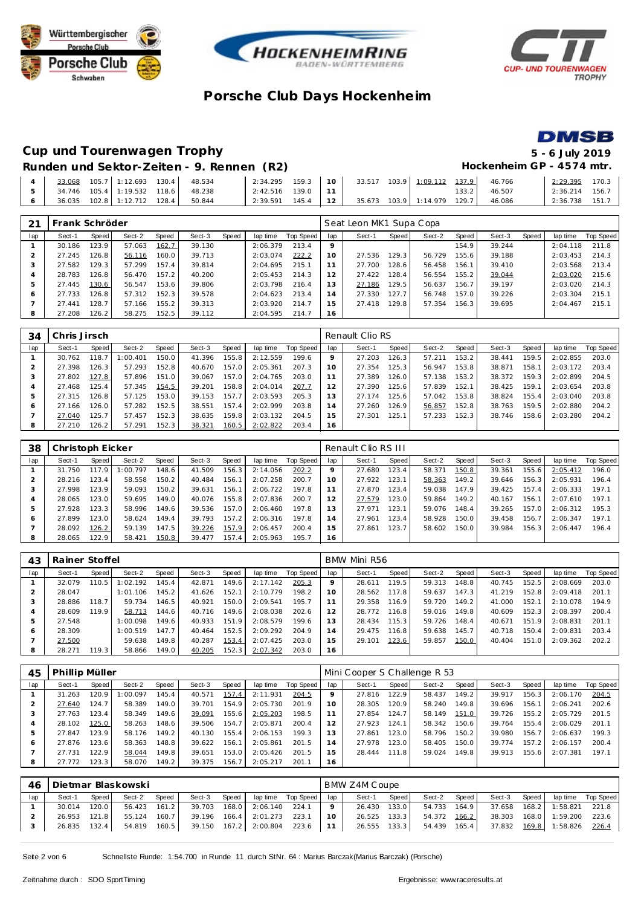







# **Cup und Tourenwagen Trophy 5 - 6 July 2019**

### **Runden und Sektor-Zeiten - 9. Rennen (R2) Hockenheim GP - 4574 mtr.**

|  |  |  |                                                                                          |  |  |  | 2:34.295  159.3  10  33.517  103.9  1:09.112  137.9  46.766 | 2:29.395 170.3   |  |
|--|--|--|------------------------------------------------------------------------------------------|--|--|--|-------------------------------------------------------------|------------------|--|
|  |  |  | $2:42.516$ 139.0 11                                                                      |  |  |  | 133.2 46.507                                                | $2:36.214$ 156.7 |  |
|  |  |  | $\begin{bmatrix} 2:39.591 & 145.4 & 12 \end{bmatrix}$ 35.673 103.9 1:14.979 129.7 46.086 |  |  |  |                                                             | $2:36.738$ 151.7 |  |

|         | Frank Schröder |       |        |       |        |       |          |           |                | Seat Leon MK1 Supa Copa |       |        |         |        |       |          |           |
|---------|----------------|-------|--------|-------|--------|-------|----------|-----------|----------------|-------------------------|-------|--------|---------|--------|-------|----------|-----------|
| lap     | Sect-1         | Speed | Sect-2 | Speed | Sect-3 | Speed | lap time | Top Speed | lap            | Sect-1                  | Speed | Sect-2 | Speed ' | Sect-3 | Speed | lap time | Top Speed |
|         | 30.186         | 123.9 | 57.063 | 162.7 | 39.130 |       | 2:06.379 | 213.4     | 9              |                         |       |        | 154.9   | 39.244 |       | 2:04.118 | 211.8     |
|         | 27.245         | 126.8 | 56.116 | 160.0 | 39.713 |       | 2:03.074 | 222.2     | 10             | 27.536                  | 129.3 | 56.729 | 155.6   | 39.188 |       | 2:03.453 | 214.3     |
| -3      | 27.582         | 129.3 | 57.299 | 157.4 | 39.814 |       | 2:04.695 | 215.1     |                | 27.700                  | 128.6 | 56.458 | 156.1   | 39.410 |       | 2:03.568 | 213.4     |
|         | 28.783         | 126.8 | 56.470 | 157.2 | 40.200 |       | 2:05.453 | 214.3     | 12             | 27.422                  | 128.4 | 56.554 | 155.2   | 39.044 |       | 2:03.020 | 215.6     |
|         | 27.445         | 130.6 | 56.547 | 153.6 | 39.806 |       | 2:03.798 | 216.4     | 13             | 27.186                  | 129.5 | 56.637 | 156.7   | 39.197 |       | 2:03.020 | 214.3     |
| $\circ$ | 27.733         | 126.8 | 57.312 | 152.3 | 39.578 |       | 2:04.623 | 213.4     | $\overline{4}$ | 27.330                  | 127.7 | 56.748 | 157.0   | 39.226 |       | 2:03.304 | 215.1     |
|         | 27.441         | 128.7 | 57.166 | 155.2 | 39.313 |       | 2:03.920 | 214.7     | 5              | 27.418                  | 129.8 | 57.354 | 156.3   | 39.695 |       | 2:04.467 | 215.1     |
| 8       | 27.208         | 126.2 | 58.275 | 152.5 | 39.112 |       | 2:04.595 | 214.7     | 6              |                         |       |        |         |        |       |          |           |

| 34  | Chris Jirsch |         |          |       |        |       |          |           |                | Renault Clio RS |       |        |       |        |       |          |           |
|-----|--------------|---------|----------|-------|--------|-------|----------|-----------|----------------|-----------------|-------|--------|-------|--------|-------|----------|-----------|
| lap | Sect-1       | Speed I | Sect-2   | Speed | Sect-3 | Speed | lap time | Top Speed | lap            | Sect-1          | Speed | Sect-2 | Speed | Sect-3 | Speed | lap time | Top Speed |
|     | 30.762       | 118.7   | : 00.401 | 150.0 | 41.396 | 155.8 | 2:12.559 | 199.6     | $\circ$        | 27.203          | 126.3 | 57.211 | 153.2 | 38.441 | 159.5 | 2:02.855 | 203.0     |
|     | 27.398       | 126.3   | 57.293   | 152.8 | 40.670 | 157.0 | 2:05.361 | 207.3     | 10             | 27.354          | 125.3 | 56.947 | 153.8 | 38.871 | 158.1 | 2:03.172 | 203.4     |
|     | 27.802       | 127.8   | 57.896   | 151.0 | 39.067 | 157.0 | 2:04.765 | 203.0     |                | 27.389          | 126.0 | 57.138 | 153.2 | 38.372 | 159.3 | 2:02.899 | 204.5     |
|     | 27.468       | 125.4   | 57.345   | 154.5 | 39.201 | 158.8 | 2:04.014 | 207.7     |                | 27.390          | 125.6 | 57.839 | 152.1 | 38.425 | 159.  | 2:03.654 | 203.8     |
| 5   | 27.315       | 126.8   | 57.125   | 153.0 | 39.153 | 157.7 | 2:03.593 | 205.3     | 3              | 27.174          | 125.6 | 57.042 | 153.8 | 38.824 | 155.4 | 2:03.040 | 203.8     |
| O   | 27.166       | 126.0   | 57.282   | 152.5 | 38.551 | 157.4 | 2:02.999 | 203.8     | $\overline{4}$ | 27.260          | 126.9 | 56.857 | 152.8 | 38.763 | 159.5 | 2:02.880 | 204.2     |
|     | 27.040       | 125.7   | 57.457   | 152.3 | 38.635 | 159.8 | 2:03.132 | 204.5     | 5              | 27.301          | 125.1 | 57.233 | 152.3 | 38.746 | 158.6 | 2:03.280 | 204.2     |
| 8   | 27.210       | 126.2   | 57.291   | 152.3 | 38.321 | 160.5 | 2:02.822 | 203.4     | 16             |                 |       |        |       |        |       |          |           |

| 38  | Christoph Eicker |       |          |       |        |       |          |           |     | Renault Clio RS III |       |        |       |        |       |          |           |
|-----|------------------|-------|----------|-------|--------|-------|----------|-----------|-----|---------------------|-------|--------|-------|--------|-------|----------|-----------|
| lap | Sect-1           | Speed | Sect-2   | Speed | Sect-3 | Speed | lap time | Top Speed | lap | Sect-1              | Speed | Sect-2 | Speed | Sect-3 | Speed | lap time | Top Speed |
|     | 31.750           | 117.9 | : 00.797 | 148.6 | 41.509 | 156.3 | 2:14.056 | 202.2     |     | 27.680              | 123.4 | 58.371 | 150.8 | 39.361 | 155.6 | 2:05.412 | 196.0     |
| 2   | 28.216           | 123.4 | 58.558   | 150.2 | 40.484 | 156.1 | 2:07.258 | 200.7     | 10  | 27.922              | 123.1 | 58.363 | 149.2 | 39.646 | 156.3 | 2:05.931 | 196.4     |
|     | 27.998           | 123.9 | 59.093   | 150.2 | 39.631 | 156.1 | 2:06.722 | 197.8     |     | 27.870              | 123.4 | 59.038 | 147.9 | 39.425 | 157.4 | 2:06.333 | 197.1     |
| 4   | 28.065           | 123.0 | 59.695   | 149.0 | 40.076 | 155.8 | 2:07.836 | 200.7     | 12  | 27.579              | 123.0 | 59.864 | 149.2 | 40.167 | 156.1 | 2:07.610 | 197.1     |
| 5   | 27.928           | 123.3 | 58.996   | 149.6 | 39.536 | 157.0 | 2:06.460 | 197.8     | 13  | 27.971              | 123.1 | 59.076 | 148.4 | 39.265 | 157.0 | 2:06.312 | 195.3     |
| O   | 27.899           | 123.0 | 58.624   | 149.4 | 39.793 | 157.2 | 2:06.316 | 197.8     | 14  | 27.961              | 123.4 | 58.928 | 150.0 | 39.458 | 156.7 | 2:06.347 | 197.1     |
|     | 28.092           | 126.2 | 59.139   | 147.5 | 39.226 | 157.9 | 2:06.457 | 200.4     | - 5 | 27.861              | 123.7 | 58.602 | 150.0 | 39.984 | 156.3 | 2:06.447 | 196.4     |
| 8   | 28.065           | 122.9 | 58.421   | 150.8 | 39.477 | 157.4 | 2:05.963 | 195.7     | 16  |                     |       |        |       |        |       |          |           |

| 43  | Rainer Stoffel |       |          |       |        |       |          |           |     | BMW Mini R56 |       |        |       |        |       |          |           |
|-----|----------------|-------|----------|-------|--------|-------|----------|-----------|-----|--------------|-------|--------|-------|--------|-------|----------|-----------|
| lap | Sect-1         | Speed | Sect-2   | Speed | Sect-3 | Speed | lap time | Top Speed | lap | Sect-1       | Speed | Sect-2 | Speed | Sect-3 | Speed | lap time | Top Speed |
|     | 32.079         | 110.5 | 1:02.192 | 145.4 | 42.871 | 149.6 | 2:17.142 | 205.3     | 9.  | 28.611       | 119.5 | 59.313 | 148.8 | 40.745 | 152.5 | 2:08.669 | 203.0     |
|     | 28.047         |       | 1:01.106 | 145.2 | 41.626 | 152.1 | 2:10.779 | 198.2     | 10  | 28.562       | 117.8 | 59.637 | 147.3 | 41.219 | 152.8 | 2:09.418 | 201.1     |
| З   | 28.886         | 118.7 | 59.734   | 146.5 | 40.921 | 150.0 | 2:09.541 | 195.7     |     | 29.358       | 116.9 | 59.720 | 149.2 | 41.000 | 152.1 | 2:10.078 | 194.9     |
| 4   | 28.609         | 119.9 | 58.713   | 144.6 | 40.716 | 149.6 | 2:08.038 | 202.6     | 12  | 28.772       | 116.8 | 59.016 | 149.8 | 40.609 | 152.3 | 2:08.397 | 200.4     |
| ь   | 27.548         |       | 1:00.098 | 149.6 | 40.933 | 151.9 | 2:08.579 | 199.6     | 13  | 28.434       | 115.3 | 59.726 | 148.4 | 40.671 | 151.9 | 2:08.831 | 201.1     |
| 6   | 28.309         |       | 1:00.519 | 147.7 | 40.464 | 152.5 | 2:09.292 | 204.9     | 14  | 29.475       | 116.8 | 59.638 | 145.7 | 40.718 | 150.4 | 2:09.831 | 203.4     |
|     | 27.500         |       | 59.638   | 149.8 | 40.287 | 153.4 | 2:07.425 | 203.0     | 15  | 29.101       | 123.6 | 59.857 | 150.0 | 40.404 | 151.0 | 2:09.362 | 202.2     |
| 8   | 28.271         | 119.3 | 58.866   | 149.0 | 40.205 | 152.3 | 2:07.342 | 203.0     | 16  |              |       |        |       |        |       |          |           |

| 45  | Phillip Müller |         |          |              |        |       |          |           |                | Mini Cooper S Challenge R 53 |       |        |       |        |       |          |           |
|-----|----------------|---------|----------|--------------|--------|-------|----------|-----------|----------------|------------------------------|-------|--------|-------|--------|-------|----------|-----------|
| lap | Sect-1         | Speed I | Sect-2   | <b>Speed</b> | Sect-3 | Speed | lap time | Top Speed | lap            | Sect-1                       | Speed | Sect-2 | Speed | Sect-3 | Speed | lap time | Top Speed |
|     | 31.263         | 120.9   | 1:00.097 | 145.4        | 40.571 | 157.4 | 2:11.931 | 204.5     |                | 27.816                       | 122.9 | 58.437 | 149.2 | 39.917 | 156.3 | 2:06.170 | 204.5     |
|     | 27.640         | 124.7   | 58.389   | 149.0        | 39.701 | 154.9 | 2:05.730 | 201.9     |                | 28.305                       | 120.9 | 58.240 | 149.8 | 39.696 | 156.1 | 2:06.241 | 202.6     |
|     | 27.763         | 123.4   | 58.349   | 149.6        | 39.091 | 155.6 | 2:05.203 | 198.5     |                | 27.854                       | 124.7 | 58.149 | 151.0 | 39.726 | 155.2 | 2:05.729 | 201.5     |
|     | 28.102         | 125.0   | 58.263   | 148.6        | 39.506 | 154.7 | 2:05.871 | 200.4     |                | 27.923                       | 124.1 | 58.342 | 150.6 | 39.764 | 155.4 | 2:06.029 | 201.1     |
|     | 27.847         | 123.9   | 58.176   | 149.2        | 40.130 | 155.4 | 2:06.153 | 199.3     | 13             | 27.861                       | 123.0 | 58.796 | 150.2 | 39.980 | 156.7 | 2:06.637 | 199.3     |
| 6   | 27.876         | 123.6   | 58.363   | 148.8        | 39.622 | 156.1 | 2:05.861 | 201.5     | $\overline{A}$ | 27.978                       | 123.0 | 58.405 | 150.0 | 39.774 | 157.2 | 2:06.157 | 200.4     |
|     | 27.731         | 122.9   | 58.044   | 149.8        | 39.651 | 153.0 | 2:05.426 | 201.5     | 5              | 28.444                       | 111.8 | 59.024 | 149.8 | 39.913 | 155.6 | 2:07.381 | 197.1     |
| 8   | 27.772         | 123.3   | 58.070   | 149.2        | 39.375 | 156.7 | 2:05.217 | 201.      | 16             |                              |       |        |       |        |       |          |           |

| 46  |        |       | Dietmar Blaskowski |       |              |       |                                |                       |     | BMW Z4M Coupe |       |              |       |        |       |                       |                    |
|-----|--------|-------|--------------------|-------|--------------|-------|--------------------------------|-----------------------|-----|---------------|-------|--------------|-------|--------|-------|-----------------------|--------------------|
| lap | Sect-1 | Speed | Sect-2             | Speed | Sect-3       | Speed |                                | laptime Top Speed lap |     | Sect-1        | Speed | Sect-2       | Speed | Sect-3 | Speed |                       | lap time Top Speed |
|     | 30.014 | 120.0 | 56.423             | 161.2 | 39.703       | 168.0 | 2:06.140                       | 224.1                 |     | 26.430        | 133.0 | 54.733 164.9 |       | 37.658 |       | 168.2 1:58.821        | 221.8              |
|     | 26.953 | 121.8 | 55.124             | 160.7 | 39.196 166.4 |       | 2:01.273                       | 223.1                 | 10  | 26.525        | 133.3 | 54.372 166.2 |       | 38.303 |       | 168.0 1:59.200        | 223.6              |
|     | 26.835 | 132.4 | 54.819             | 160.5 |              |       | 39.150  167.2  2:00.804  223.6 |                       | 111 | 26.555        | 133.3 | 54.439 165.4 |       |        |       | 37.832 169.8 1:58.826 | 226.4              |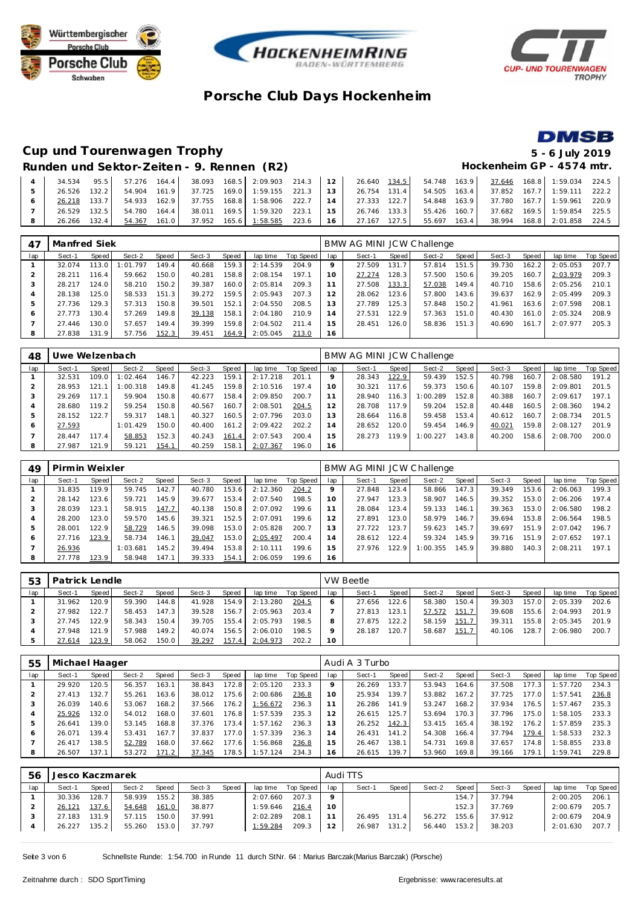







### **Cup und Tourenwagen Trophy 5 - 6 July 2019** Runden und Sektor-Zeiten - 9. Rennen (R2) **Hockenheim GP - 4574 mtr.**

|                |              |  |  |  |  |  |  |  | $34.534$ $95.5$ $57.276$ $164.4$ $38.093$ $168.5$ $2:09.903$ $214.3$ $12$ $26.640$ $134.5$ $54.748$ $163.9$ $37.646$ $168.8$ $1:59.034$ $224.5$ is |  |
|----------------|--------------|--|--|--|--|--|--|--|----------------------------------------------------------------------------------------------------------------------------------------------------|--|
|                |              |  |  |  |  |  |  |  | 26.526 132.2 54.904 161.9 37.725 169.0 1:59.155 221.3 13 26.754 131.4 54.505 163.4 37.852 167.7 1:59.111 222.2                                     |  |
|                |              |  |  |  |  |  |  |  | 26.218 133.7 54.933 162.9 37.755 168.8 1:58.906 222.7 14 27.333 122.7 54.848 163.9 37.780 167.7 1:59.961 220.9                                     |  |
|                |              |  |  |  |  |  |  |  | 26.529 132.5 54.780 164.4 38.011 169.5 1:59.320 223.1 15 46.746 133.3 55.426 160.7 37.682 169.5 1:59.854 225.5                                     |  |
| 8 <sup>1</sup> | 26.266 132.4 |  |  |  |  |  |  |  | 54.367 161.0 37.952 165.6 1:58.585 223.6 16 27.167 127.5 55.697 163.4 38.994 168.8 2:01.858 224.5                                                  |  |

| 47  | Manfred Siek |       |          |       |        |       |          |           |     | BMW AG MINI JCW Challenge |       |        |       |        |       |          |           |
|-----|--------------|-------|----------|-------|--------|-------|----------|-----------|-----|---------------------------|-------|--------|-------|--------|-------|----------|-----------|
| lap | Sect-1       | Speed | Sect-2   | Speed | Sect-3 | Speed | lap time | Top Speed | lap | Sect-1                    | Speed | Sect-2 | Speed | Sect-3 | Speed | lap time | Top Speed |
|     | 32.074       | 113.0 | 1:01.797 | 149.4 | 40.668 | 159.3 | 2:14.539 | 204.9     | Q   | 27.509                    | 131.7 | 57.814 | 151.5 | 39.730 | 162.2 | 2:05.053 | 207.7     |
|     | 28.211       | 116.4 | 59.662   | 150.0 | 40.281 | 158.8 | 2:08.154 | 197.1     | 10  | 27.274                    | 128.3 | 57.500 | 150.6 | 39.205 | 160.7 | 2:03.979 | 209.3     |
|     | 28.217       | 124.0 | 58.210   | 150.2 | 39.387 | 160.0 | 2:05.814 | 209.3     |     | 27.508                    | 133.3 | 57.038 | 149.4 | 40.710 | 158.6 | 2:05.256 | 210.1     |
|     | 28.138       | 125.0 | 58.533   | 151.3 | 39.272 | 159.5 | 2:05.943 | 207.3     | 12  | 28.062                    | 123.6 | 57.800 | 143.6 | 39.637 | 162.9 | 2:05.499 | 209.3     |
|     | 27.736       | 129.3 | 57.313   | 150.8 | 39.501 | 152.1 | 2:04.550 | 208.5     | 13  | 27.789                    | 125.3 | 57.848 | 150.2 | 41.961 | 163.6 | 2:07.598 | 208.      |
| Ô   | 27.773       | 130.4 | 57.269   | 149.8 | 39.138 | 158.1 | 2:04.180 | 210.9     | 14  | 27.531                    | 122.9 | 57.363 | 151.0 | 40.430 | 161.0 | 2:05.324 | 208.9     |
|     | 27.446       | 130.0 | 57.657   | 149.4 | 39.399 | 159.8 | 2:04.502 | 211.4     | 15  | 28.451                    | 126.0 | 58.836 | 151.3 | 40.690 | 161.7 | 2:07.977 | 205.3     |
| 8   | 27.838       | 131.9 | 57.756   | 152.3 | 39.451 | 164.9 | 2:05.045 | 213.0     | 16  |                           |       |        |       |        |       |          |           |

| 48        | Uwe Welzenbach |       |          |       |        |       |          |           |       | BMW AG MINI JCW Challenge |       |          |       |        |       |          |           |
|-----------|----------------|-------|----------|-------|--------|-------|----------|-----------|-------|---------------------------|-------|----------|-------|--------|-------|----------|-----------|
| lap       | Sect-1         | Speed | Sect-2   | Speed | Sect-3 | Speed | lap time | Top Speed | lap   | Sect-1                    | Speed | Sect-2   | Speed | Sect-3 | Speed | lap time | Top Speed |
|           | 32.531         | 109.0 | 1:02.464 | 146.7 | 42.223 | 159.1 | 2:17.218 | 201.1     |       | 28.343                    | 122.9 | 59.439   | 152.5 | 40.798 | 160.7 | 2:08.580 | 191.2     |
| $\bigcap$ | 28.953         | 121   | 1:00.318 | 149.8 | 41.245 | 159.8 | 2:10.516 | 197.4     |       | 30.321                    | 117.6 | 59.373   | 150.6 | 40.107 | 159.8 | 2:09.801 | 201.5     |
| 3         | 29.269         | 117.1 | 59.904   | 150.8 | 40.677 | 158.4 | 2:09.850 | 200.7     |       | 28.940                    | 116.3 | 1:00.289 | 152.8 | 40.388 | 160.7 | 2:09.617 | 197.1     |
|           | 28.680         | 119.2 | 59.254   | 150.8 | 40.567 | 160.7 | 2:08.501 | 204.5     | 12    | 28.708                    | 117.9 | 59.204   | 152.8 | 40.448 | 160.5 | 2:08.360 | 194.2     |
| 5         | 28.152         | 122.7 | 59.317   | 148.1 | 40.327 | 160.5 | 2:07.796 | 203.0     | 13    | 28.664                    | 116.8 | 59.458   | 153.4 | 40.612 | 160.7 | 2:08.734 | 201.5     |
| O         | 27.593         |       | 1:01.429 | 150.0 | 40.400 | 161.2 | 2:09.422 | 202.2     | 14    | 28.652                    | 120.0 | 59.454   | 146.9 | 40.021 | 159.8 | 2:08.127 | 201.9     |
|           | 28.447         | 117.4 | 58.853   | 152.3 | 40.243 | 161.4 | 2:07.543 | 200.4     | $5 -$ | 28.273                    | 119.9 | 1:00.227 | 143.8 | 40.200 | 158.6 | 2:08.700 | 200.0     |
| 8         | 27.987         | 121.9 | 59.121   | 154.1 | 40.259 | 158.1 | 2:07.367 | 196.0     | 16    |                           |       |          |       |        |       |          |           |

| 49  | Pirmin Weixler |       |          |       |        |       |          |           |                | BMW AG MINI JCW Challenge |       |          |       |        |       |          |           |
|-----|----------------|-------|----------|-------|--------|-------|----------|-----------|----------------|---------------------------|-------|----------|-------|--------|-------|----------|-----------|
| lap | Sect-1         | Speed | Sect-2   | Speed | Sect-3 | Speed | lap time | Top Speed | lap            | Sect-1                    | Speed | Sect-2   | Speed | Sect-3 | Speed | lap time | Top Speed |
|     | 31.835         | 119.9 | 59.745   | 142.7 | 40.780 | 153.6 | 2:12.360 | 204.2     |                | 27.848                    | 123.4 | 58.866   | 147.3 | 39.349 | 153.6 | 2:06.063 | 199.3     |
|     | 28.142         | 123.6 | 59.721   | 145.9 | 39.677 | 153.4 | 2:07.540 | 198.5     | 10             | 27.947                    | 123.3 | 58.907   | 146.5 | 39.352 | 153.0 | 2:06.206 | 197.4     |
|     | 28.039         | 123.1 | 58.915   | 147.7 | 40.138 | 150.8 | 2:07.092 | 199.6     |                | 28.084                    | 123.4 | 59.133   | 146.1 | 39.363 | 153.0 | 2:06.580 | 198.2     |
|     | 28.200         | 123.0 | 59.570   | 145.6 | 39.321 | 152.5 | 2:07.091 | 199.6     |                | 27.891                    | 123.0 | 58.979   | 146.7 | 39.694 | 153.8 | 2:06.564 | 198.5     |
|     | 28.001         | 122.9 | 58.729   | 146.5 | 39.098 | 153.0 | 2:05.828 | 200.7     | 3              | 27.722                    | 123.7 | 59.623   | 145.7 | 39.697 | 151.9 | 2:07.042 | 196.7     |
| 6   | 27.716         | 123.9 | 58.734   | 146.1 | 39.047 | 153.0 | 2:05.497 | 200.4     | $\overline{A}$ | 28.612                    | 122.4 | 59.324   | 145.9 | 39.716 | 151.9 | 2:07.652 | 197.1     |
|     | 26.936         |       | 1:03.681 | 145.2 | 39.494 | 153.8 | 2:10.111 | 199.6     | 5              | 27.976                    | 122.9 | 1:00.355 | 145.9 | 39.880 | 140.3 | 2:08.211 | 197.1     |
| 8   | 27.778         | 123.9 | 58.948   | 147.1 | 39.333 | 154.1 | 2:06.059 | 199.6     | 16             |                           |       |          |       |        |       |          |           |

| 53  | Patrick Lendle |         |        |              |        |                    |          |           |     | VW Beetle |       |        |                    |        |       |          |           |
|-----|----------------|---------|--------|--------------|--------|--------------------|----------|-----------|-----|-----------|-------|--------|--------------------|--------|-------|----------|-----------|
| lap | Sect-1         | Speed I | Sect-2 | <b>Speed</b> | Sect-3 | Speed              | lap time | Top Speed | lap | Sect-1    | Speed | Sect-2 | Speed              | Sect-3 | Speed | lap time | Top Speed |
|     | 31.962         | 120.9   | 59.390 | 144.8        | 41.928 | 154.9              | 2:13.280 | 204.5     |     | 27.656    | 122.6 | 58.380 | 150.4 <sub>1</sub> | 39.303 | 157.0 | 2:05.339 | 202.6     |
|     | 27.982         | 122.7   | 58.453 | 147.3        | 39.528 | 156.7              | 2:05.963 | 203.4     |     | 27.813    | 123.1 | 57.572 | 151.7              | 39.608 | 155.6 | 2:04.993 | 201.9     |
|     | 27.745         | 122.9   | 58.343 | 150.4        | 39.705 | 155.4 <sub>1</sub> | 2:05.793 | 198.5     |     | 27.875    | 122.2 | 58.159 | 151.7              | 39.311 | 155.8 | 2:05.345 | 201.9     |
|     | 27.948         | 121.9   | 57.988 | 149.21       | 40.074 | 156.5              | 2:06.010 | 198.5     |     | 28.187    | 120.7 | 58.687 | 151.7              | 40.106 | 128.7 | 2:06.980 | 200.7     |
|     | 27.614         | 123.9   | 58.062 | 150.0        | 39.297 | 157.4              | 2:04.973 | 202.2     | 10  |           |       |        |                    |        |       |          |           |

| 55  | Michael Haager |       |        |       |        |       |          |           |     | Audi A 3 Turbo |       |        |       |        |       |          |           |
|-----|----------------|-------|--------|-------|--------|-------|----------|-----------|-----|----------------|-------|--------|-------|--------|-------|----------|-----------|
| lap | Sect-1         | Speed | Sect-2 | Speed | Sect-3 | Speed | lap time | Top Speed | lap | Sect-1         | Speed | Sect-2 | Speed | Sect-3 | Speed | lap time | Top Speed |
|     | 29.920         | 120.5 | 56.357 | 163.1 | 38.843 | 172.8 | 2:05.120 | 233.3     |     | 26.269         | 133.7 | 53.943 | 164.6 | 37.508 | 177.3 | 1:57.720 | 234.3     |
|     | 27.413         | 132.7 | 55.261 | 163.6 | 38.012 | 175.6 | 2:00.686 | 236.8     | 10  | 25.934         | 139.7 | 53.882 | 167.2 | 37.725 | 177.0 | 1:57.541 | 236.8     |
|     | 26.039         | 140.6 | 53.067 | 168.2 | 37.566 | 176.2 | 1:56.672 | 236.3     | 11  | 26.286         | 141.9 | 53.247 | 168.2 | 37.934 | 176.5 | 1:57.467 | 235.3     |
|     | 25.926         | 132.0 | 54.012 | 168.0 | 37.601 | 176.8 | 1:57.539 | 235.3     | 12  | 26.615         | 125.7 | 53.694 | 170.3 | 37.796 | 175.0 | 1:58.105 | 233.3     |
|     | 26.641         | 139.0 | 53.145 | 168.8 | 37.376 | 173.4 | 1:57.162 | 236.3     | 13  | 26.252         | 142.3 | 53.415 | 165.4 | 38.192 | 176.2 | 1:57.859 | 235.3     |
| 6   | 26.071         | 139.4 | 53.431 | 167.7 | 37.837 | 177.0 | 1:57.339 | 236.3     | 14  | 26.431         | 141.2 | 54.308 | 166.4 | 37.794 | 179.4 | 1:58.533 | 232.3     |
|     | 26.417         | 138.5 | 52.789 | 168.0 | 37.662 | 177.6 | 1:56.868 | 236.8     | 15  | 26.467         | 138.1 | 54.731 | 169.8 | 37.657 | 174.8 | 1:58.855 | 233.8     |
| 8   | 26.507         | 137.1 | 53.272 | 171.2 | 37.345 | 178.5 | 1:57.124 | 234.3     | 16  | 26.615         | 139.7 | 53.960 | 169.8 | 39.166 | 179.1 | 1:59.741 | 229.8     |

| .56 | Jesco Kaczmarek |         |        |       |        |       |          |           |         | Audi TTS |       |        |        |        |       |          |           |
|-----|-----------------|---------|--------|-------|--------|-------|----------|-----------|---------|----------|-------|--------|--------|--------|-------|----------|-----------|
| lap | Sect-1          | Speed I | Sect-2 | Speed | Sect-3 | Speed | lap time | Top Speed | lap     | Sect-1   | Speed | Sect-2 | Speed  | Sect-3 | Speed | lap time | Top Speed |
|     | 30.336          | 128.7   | 58.939 | 155.2 | 38.385 |       | 2:07.660 | 207.3     | $\circ$ |          |       |        | 154.7  | 37.794 |       | 2:00.205 | 206.1     |
|     | 26.121          | 137.6   | 54.648 | 161.0 | 38.877 |       | 1:59.646 | 216.4     | 10      |          |       |        | 152.3  | 37.769 |       | 2:00.679 | 205.7     |
|     | 27.183          | 131.9   | 57.115 | 150.0 | 37.991 |       | 2:02.289 | 208.1     |         | 26.495   | 131.4 | 56.272 | 155.61 | 37.912 |       | 2:00.679 | 204.9     |
|     | 26.227          | 135.2   | 55.260 | 153.0 | 37.797 |       | 1:59.284 | 209.3     | 12      | 26.987   | 131.2 | 56.440 | 153.2  | 38.203 |       | 2:01.630 | 207.7     |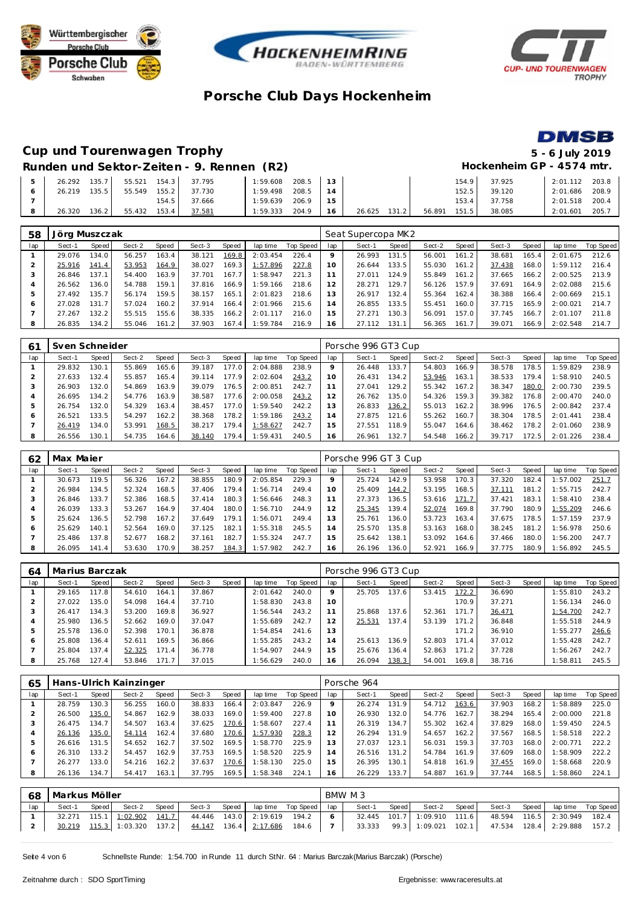







#### **Cup und Tourenwagen Trophy 5 - 6 July 2019 Runden und Sektor-Zeiten - 9. Rennen (R2) Hockenheim GP - 4574 mtr.**

|  |        |           |        |       | $\frac{1}{2}$       |          |          |    |        |       |        |       |        |                |       |
|--|--------|-----------|--------|-------|---------------------|----------|----------|----|--------|-------|--------|-------|--------|----------------|-------|
|  | 26.292 | 135.7     |        |       | 55.521 154.3 37.795 | 1:59.608 | 208.5 13 |    |        |       |        | 154.9 | 37.925 | 2:01.112 203.8 |       |
|  | 26.219 | $135.5$ I | 55.549 |       | 155.2 37.730        | 1:59.498 | 208.5    | 14 |        |       |        | 152.5 | 39.120 | 2:01.686 208.9 |       |
|  |        |           |        | 154.5 | 37.666              | 1:59.639 | 206.9    | 15 |        |       |        | 153.4 | 37.758 | 2:01.518 200.4 |       |
|  | 26.320 | 136.2     | 55.432 | 153.4 | 37.581              | 1:59.333 | 204.9    | 16 | 26.625 | 131.2 | 56.891 | 151.5 | 38.085 | 2:01.601       | 205.7 |

| 58  | Jörg Muszczak |       |        |       |        |       |          |           |     | Seat Supercopa MK2 |       |        |       |        |       |          |           |
|-----|---------------|-------|--------|-------|--------|-------|----------|-----------|-----|--------------------|-------|--------|-------|--------|-------|----------|-----------|
| lap | Sect-1        | Speed | Sect-2 | Speed | Sect-3 | Speed | lap time | Top Speed | lap | Sect-1             | Speed | Sect-2 | Speed | Sect-3 | Speed | lap time | Top Speed |
|     | 29.076        | 134.0 | 56.257 | 163.4 | 38.121 | 169.8 | 2:03.454 | 226.4     |     | 26.993             | 131.5 | 56.001 | 161.2 | 38.681 | 165.4 | 2:01.675 | 212.6     |
| 2   | 25.916        | 141.4 | 53.953 | 164.9 | 38.027 | 169.3 | 1:57.896 | 227.8     | 10  | 26.644             | 133.5 | 55.030 | 161.2 | 37.438 | 168.0 | 1:59.112 | 216.4     |
| З   | 26.846        | 137.1 | 54.400 | 163.9 | 37.701 | 167.7 | 1:58.947 | 221.3     | -1  | 27.011             | 124.9 | 55.849 | 161.2 | 37.665 | 166.2 | 2:00.525 | 213.9     |
|     | 26.562        | 136.0 | 54.788 | 159.1 | 37.816 | 166.9 | 1:59.166 | 218.6     | 12  | 28.271             | 129.7 | 56.126 | 157.9 | 37.691 | 164.9 | 2:02.088 | 215.6     |
| ь   | 27.492        | 135.7 | 56.174 | 159.5 | 38.157 | 165.1 | 2:01.823 | 218.6     | 13  | 26.917             | 132.4 | 55.364 | 162.4 | 38.388 | 166.4 | 2:00.669 | 215.1     |
| O   | 27.028        | 131.7 | 57.024 | 160.2 | 37.914 | 166.4 | 2:01.966 | 215.6     | 14  | 26.855             | 133.5 | 55.451 | 160.0 | 37.715 | 165.9 | 2:00.021 | 214.7     |
|     | 27.267        | 132.2 | 55.515 | 155.6 | 38.335 | 166.2 | 2:01.117 | 216.0     | 15  | 27.271             | 130.3 | 56.091 | 157.0 | 37.745 | 166.7 | 2:01.107 | 211.8     |
| 8   | 26.835        | 134.2 | 55.046 | 161.2 | 37.903 | 167.4 | 1:59.784 | 216.9     | 16  | 27.112             | 131.1 | 56.365 | 161   | 39.071 | 166.9 | 2:02.548 | 214.7     |

| 61  | Sven Schneider |       |        |              |        |       |          |           |                 | Porsche 996 GT3 Cup |        |        |       |        |       |          |           |
|-----|----------------|-------|--------|--------------|--------|-------|----------|-----------|-----------------|---------------------|--------|--------|-------|--------|-------|----------|-----------|
| lap | Sect-1         | Speed | Sect-2 | <b>Speed</b> | Sect-3 | Speed | lap time | Top Speed | lap             | Sect-1              | Speed  | Sect-2 | Speed | Sect-3 | Speed | lap time | Top Speed |
|     | 29.832         | 130.1 | 55.869 | 165.6        | 39.187 | 177.0 | 2:04.888 | 238.9     |                 | 26.448              | 133.7  | 54.803 | 166.9 | 38.578 | 178.5 | :59.829  | 238.9     |
|     | 27.633         | 132.4 | 55.857 | 165.4        | 39.114 | 177.9 | 2:02.604 | 243.2     | 10 <sup>°</sup> | 26.431              | 134.2  | 53.946 | 163.1 | 38.533 | 79.4  | :58.910  | 240.5     |
|     | 26.903         | 132.0 | 54.869 | 163.9        | 39.079 | 176.5 | 2:00.851 | 242.7     |                 | 27.041              | 129.2. | 55.342 | 167.2 | 38.347 | 180.0 | 2:00.730 | 239.5     |
|     | 26.695         | 134.2 | 54.776 | 163.9        | 38.587 | 177.6 | 2:00.058 | 243.2     | 2               | 26.762              | 135.0  | 54.326 | 159.3 | 39.382 | 176.8 | 2:00.470 | 240.0     |
|     | 26.754         | 132.0 | 54.329 | 163.4        | 38.457 | 177.0 | 1:59.540 | 242.2     | 3               | 26.833              | 136.2  | 55.013 | 162.2 | 38.996 | 176.5 | 2:00.842 | 237.4     |
| O   | 26.521         | 133.5 | 54.297 | 162.2        | 38.368 | 178.2 | 1:59.186 | 243.2     | 14              | 27.875              | 121.6  | 55.262 | 160.7 | 38.304 | 78.5  | 2:01.441 | 238.4     |
|     | 26.419         | 134.0 | 53.991 | 168.5        | 38.217 | 179.4 | 1:58.627 | 242.7     | 15              | 27.551              | 118.9  | 55.047 | 164.6 | 38.462 | 178.2 | 2:01.060 | 238.9     |
| 8   | 26.556         | 130.1 | 54.735 | 164.6        | 38.140 | 179.4 | 1:59.431 | 240.5     | 16              | 26.961              | 132.7  | 54.548 | 166.2 | 39.717 | 72.5  | 2:01.226 | 238.4     |

| 62  | Max Majer |       |        |       |        |       |          |           |     | Porsche 996 GT 3 Cup |       |        |       |        |       |          |           |
|-----|-----------|-------|--------|-------|--------|-------|----------|-----------|-----|----------------------|-------|--------|-------|--------|-------|----------|-----------|
| lap | Sect-1    | Speed | Sect-2 | Speed | Sect-3 | Speed | lap time | Top Speed | lap | Sect-1               | Speed | Sect-2 | Speed | Sect-3 | Speed | lap time | Top Speed |
|     | 30.673    | 119.5 | 56.326 | 167.2 | 38.855 | 180.9 | 2:05.854 | 229.3     |     | 25.724               | 142.9 | 53.958 | 170.3 | 37.320 | 182.4 | 1:57.002 | 251.7     |
|     | 26.984    | 134.5 | 52.324 | 168.5 | 37.406 | 179.4 | 1:56.714 | 249.4     | 10  | 25.409               | 144.2 | 53.195 | 168.5 | 37.111 | 181.2 | :55.715  | 242.7     |
|     | 26.846    | 133.7 | 52.386 | 168.5 | 37.414 | 180.3 | :56.646  | 248.3     |     | 27.373               | 136.5 | 53.616 | 171.7 | 37.421 | 183.7 | :58.410  | 238.4     |
|     | 26.039    | 133.3 | 53.267 | 164.9 | 37.404 | 180.0 | 1:56.710 | 244.9     |     | 25.345               | 139.4 | 52.074 | 169.8 | 37.790 | 180.9 | 1:55.209 | 246.6     |
| ь   | 25.624    | 136.5 | 52.798 | 167.2 | 37.649 | 179.1 | : 56.071 | 249.4     | 13  | 25.761               | 136.0 | 53.723 | 163.4 | 37.675 | 78.5  | 1:57.159 | 237.9     |
| O   | 25.629    | 140.1 | 52.564 | 169.0 | 37.125 | 182.1 | 1:55.318 | 245.5     | 14  | 25.570               | 135.8 | 53.163 | 168.0 | 38.245 | 181.2 | :56.978  | 250.6     |
|     | 25.486    | 137.8 | 52.677 | 168.2 | 37.161 | 182.7 | :55.324  | 247.7     | 15  | 25.642               | 138.1 | 53.092 | 164.6 | 37.466 | 180.0 | 1:56.200 | 247.7     |
| 8   | 26.095    | 141.4 | 53.630 | 170.9 | 38.257 | 184.3 | 1:57.982 | 242.7     | 16  | 26.196               | 136.0 | 52.921 | 166.9 | 37.775 | 180.9 | 1:56.892 | 245.5     |

| 64  | Marius Barczak |                    |        |       |        |       |          |           |                | Porsche 996 GT3 Cup |       |        |                       |        |       |          |           |
|-----|----------------|--------------------|--------|-------|--------|-------|----------|-----------|----------------|---------------------|-------|--------|-----------------------|--------|-------|----------|-----------|
| lap | Sect-1         | Speed              | Sect-2 | Speed | Sect-3 | Speed | lap time | Top Speed | lap            | Sect-1              | Speed | Sect-2 | Speed                 | Sect-3 | Speed | lap time | Top Speed |
|     | 29.165         | 117.8 <sub>1</sub> | 54.610 | 164.1 | 37.867 |       | 2:01.642 | 240.0     |                | 25.705              | 137.6 | 53.415 | 172.2                 | 36.690 |       | : 55.810 | 243.2     |
|     | 27.022         | 135.0              | 54.098 | 164.4 | 37.710 |       | 1:58.830 | 243.8     | 10             |                     |       |        | 170.9                 | 37.271 |       | : 56.134 | 246.0     |
|     | 26.417         | 134.3              | 53.200 | 169.8 | 36.927 |       | 1:56.544 | 243.2     |                | 25.868              | 137.6 | 52.361 | 171<br>$\overline{7}$ | 36.471 |       | 1:54.700 | 242.7     |
| 4   | 25.980         | 136.5              | 52.662 | 169.0 | 37.047 |       | 1:55.689 | 242.7     | 12             | 25.531              | 137.4 | 53.139 | 171<br>$\overline{2}$ | 36.848 |       | : 55.518 | 244.9     |
|     | 25.578         | 136.0              | 52.398 | 170.1 | 36.878 |       | 1:54.854 | 241.6     | 13             |                     |       |        | 171.2                 | 36.910 |       | : 55.277 | 246.6     |
| 6   | 25.808         | 136.4              | 52.611 | 169.5 | 36.866 |       | 1:55.285 | 243.2     | $\overline{4}$ | 25.613              | 136.9 | 52.803 | 171<br>$4^{\circ}$    | 37.012 |       | 1:55.428 | 242.7     |
|     | 25.804         | 137.4              | 52.325 | 171.4 | 36.778 |       | 1:54.907 | 244.9     | 15             | 25.676              | 136.4 | 52.863 | 171<br>$\mathcal{L}$  | 37.728 |       | 1:56.267 | 242.7     |
| 8   | 25.768         | 127.4              | 53.846 | 171.7 | 37.015 |       | 1:56.629 | 240.0     | 16             | 26.094              | 138.3 | 54.001 | 169.8 l               | 38.716 |       | 1:58.811 | 245.5     |

| 65  |        |       | Hans-Ulrich Kainzinger |       |        |         |          |           |                 | Porsche 964 |       |        |       |        |       |          |           |
|-----|--------|-------|------------------------|-------|--------|---------|----------|-----------|-----------------|-------------|-------|--------|-------|--------|-------|----------|-----------|
| lap | Sect-1 | Speed | Sect-2                 | Speed | Sect-3 | Speed   | lap time | Top Speed | lap             | Sect-1      | Speed | Sect-2 | Speed | Sect-3 | Speed | lap time | Top Speed |
|     | 28.759 | 130.3 | 56.255                 | 160.0 | 38.833 | 166.4   | 2:03.847 | 226.9     |                 | 26.274      | 131.9 | 54.712 | 163.6 | 37.903 | 168.2 | :58.889  | 225.0     |
|     | 26.500 | 135.0 | 54.867                 | 162.9 | 38.033 | 169.0 l | 1:59.400 | 227.8     | 10 <sup>°</sup> | 26.930      | 132.0 | 54.776 | 162.7 | 38.294 | 165.4 | 2:00.000 | 221.8     |
|     | 26.475 | 134.7 | 54.507                 | 163.4 | 37.625 | 170.6   | 1:58.607 | 227.4     |                 | 26.319      | 134.7 | 55.302 | 162.4 | 37.829 | 168.0 | 1:59.450 | 224.5     |
|     | 26.136 | 135.0 | 54.114                 | 162.4 | 37.680 | 170.6   | 1:57.930 | 228.3     |                 | 26.294      | 131.9 | 54.657 | 162.2 | 37.567 | 168.5 | :58.518  | 222.2     |
| ь   | 26.616 | 131.5 | 54.652                 | 162.7 | 37.502 | 169.5   | :58.770  | 225.9     |                 | 27.037      | 123.1 | 56.031 | 159.3 | 37.703 | 168.0 | 2:00.771 | 222.2     |
| 6   | 26.310 | 133.2 | 54.457                 | 162.9 | 37.753 | 169.5   | :58.520  | 225.9     | 4               | 26.516      | 131.2 | 54.784 | 161.9 | 37.609 | 168.0 | :58.909  | 222.2     |
|     | 26.277 | 33.0  | 54.216                 | 162.2 | 37.637 | 170.6   | 1:58.130 | 225.0     | 5               | 26.395      | 130.1 | 54.818 | 161.9 | 37.455 | 169.0 | :58.668  | 220.9     |
| 8   | 26.136 | 134.7 | 54.417                 | 163.1 | 37.795 | 169.5   | : 58.348 | 224.1     | 6               | 26.229      | 133.7 | 54.887 | 161.9 | 37.744 | 168.5 | :58.860  | 224.1     |

|     | 68   Markus Möller |       |                      |       |        |       |                             |                       | BMW M 3 |       |                             |       |        |       |                             |                    |
|-----|--------------------|-------|----------------------|-------|--------|-------|-----------------------------|-----------------------|---------|-------|-----------------------------|-------|--------|-------|-----------------------------|--------------------|
| lap | Sect-1             | Speed | Sect-2               | Speed | Sect-3 | Speed |                             | laptime Top Speed lap | Sect-1  | Speed | Sect-2                      | Speed | Sect-3 | Speed |                             | lap time Top Speed |
|     | 32.271             |       | 115.1 1:02.902       | 141.7 |        |       | 44.446 143.0 2:19.619 194.2 |                       |         |       | 32.445 101.7 1:09.910 111.6 |       |        |       | 48.594 116.5 2:30.949 182.4 |                    |
|     | 30.219             |       | 115.3 1:03.320 137.2 |       |        |       | 44.147 136.4 2:17.686 184.6 |                       | 33.333  |       | 99.3 1:09.021               | 102.1 |        |       | 47.534 128.4 2:29.888 157.2 |                    |

Seite 4 von 6 Schnellste Runde: 1:54.700 in Runde 11 durch StNr. 64 : Marius Barczak(Marius Barczak) (Porsche)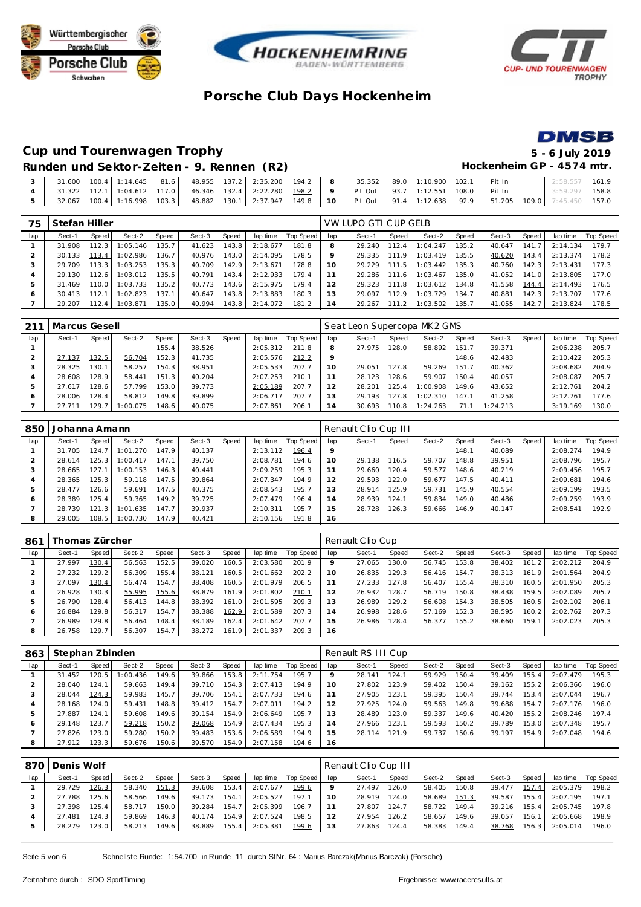







# **Cup und Tourenwagen Trophy 5 - 6 July 2019**

### Runden und Sektor-Zeiten - 9. Rennen (R2) **Hockenheim GP** - 4574 mtr.

|  |  |  |  |  | $\begin{bmatrix} 3 & 31.600 & 100.4 & 1:14.645 & 81.6 \end{bmatrix}$ 48.955 137.2 2:35.200 194.2 8 35.352 89.0 1:10.900 102.1 Pit In                                  |  |  | 2:58.557 161.9 |  |
|--|--|--|--|--|-----------------------------------------------------------------------------------------------------------------------------------------------------------------------|--|--|----------------|--|
|  |  |  |  |  | 4 31.322 112.1 1:04.612 117.0 46.346 132.4 2:22.280 198.2 9 Pit Out 93.7 1:12.551 108.0 Pit In 3:59.297 158.8                                                         |  |  |                |  |
|  |  |  |  |  | $\begin{bmatrix} 5 & 32.067 & 100.4 & 1:16.998 & 103.3 & 48.882 & 130.1 & 2:37.947 & 149.8 & 10 \end{bmatrix}$ Pit Out 91.4 1:12.638 92.9 51.205 109.0 7:45.450 157.0 |  |  |                |  |

| 75           | Stefan Hiller |       |          |        |        |       |          |           |     | VW LUPO GTI CUP GELB |       |          |       |        |       |          |           |
|--------------|---------------|-------|----------|--------|--------|-------|----------|-----------|-----|----------------------|-------|----------|-------|--------|-------|----------|-----------|
| lap          | Sect-1        | Speed | Sect-2   | Speed  | Sect-3 | Speed | lap time | Top Speed | lap | Sect-1               | Speed | Sect-2   | Speed | Sect-3 | Speed | lap time | Top Speed |
|              | 31.908        | 112.3 | 1:05.146 | 135.7  | 41.623 | 143.8 | 2:18.677 | 181.8     | 8   | 29.240               | 112.4 | 1:04.247 | 135.2 | 40.647 | 141.7 | 2:14.134 | 179.7     |
|              | 30.133        | 113.4 | 1:02.986 | 136.7  | 40.976 | 143.0 | 2:14.095 | 178.5     |     | 29.335               | 111.9 | 1:03.419 | 135.5 | 40.620 | 143.4 | 2:13.374 | 178.2     |
|              | 29.709        | 113.3 | 1:03.253 | 135.3. | 40.709 | 142.9 | 2:13.671 | 178.8     | 10  | 29.229               | 111.5 | 1:03.442 | 135.3 | 40.760 | 142.3 | 2:13.431 | 177.3     |
|              | 29.130        | 112.6 | 1:03.012 | 135.5  | 40.791 | 143.4 | 2:12.933 | 179.4     |     | 29.286               | 111.6 | 1:03.467 | 135.0 | 41.052 | 141.0 | 2:13.805 | 177.0     |
|              | 31.469        | 110.0 | 1:03.733 | 135.2  | 40.773 | 143.6 | 2:15.975 | 179.4     | 12  | 29.323               | 111.8 | 1:03.612 | 134.8 | 41.558 | 144.4 | 2:14.493 | 176.5     |
| <sub>6</sub> | 30.413        | 112.1 | 1:02.823 | 137.1  | 40.647 | 143.8 | 2:13.883 | 180.3     | 13  | 29.097               | 112.9 | 1:03.729 | 134.7 | 40.881 | 142.3 | 2:13.707 | 177.6     |
|              | 29.207        | 112.4 | 1:03.871 | 135.0  | 40.994 | 143.8 | 2:14.072 | 181.2     | 14  | 29.267               | 111.2 | 1:03.502 | 135.7 | 41.055 | 142.7 | 2:13.824 | 178.5     |

|     | Marcus Gesell |       |          |                    |        |       |          |           |                | Seat Leon Supercopa MK2 GMS |       |          |       |          |              |          |           |
|-----|---------------|-------|----------|--------------------|--------|-------|----------|-----------|----------------|-----------------------------|-------|----------|-------|----------|--------------|----------|-----------|
| lap | Sect-1        | Speed | Sect-2   | <b>Speed</b>       | Sect-3 | Speed | lap time | Top Speed | lap            | Sect-1                      | Speed | Sect-2   | Speed | Sect-3   | <b>Speed</b> | lap time | Top Speed |
|     |               |       |          | 155.4              | 38.526 |       | 2:05.312 | 211.8     | 8              | 27.975                      | 128.0 | 58.892   | 151.7 | 39.371   |              | 2:06.238 | 205.7     |
|     | 27.137        | 132.5 | 56.704   | 152.3 <sub>1</sub> | 41.735 |       | 2:05.576 | 212.2     |                |                             |       |          | 148.6 | 42.483   |              | 2:10.422 | 205.3     |
|     | 28.325        | 130.1 | 58.257   | 154.3              | 38.951 |       | 2:05.533 | 207.7     |                | 29.051                      | 127.8 | 59.269   | 151.7 | 40.362   |              | 2:08.682 | 204.9     |
|     | 28.608        | 128.9 | 58.441   | 151.31             | 40.204 |       | 2:07.253 | 210.1     |                | 28.123                      | 128.6 | 59.907   | 150.4 | 40.057   |              | 2:08.087 | 205.7     |
|     | 27.617        | 128.6 | 57.799   | 153.0              | 39.773 |       | 2:05.189 | 207.7     |                | 28.201                      | 125.4 | 1:00.908 | 149.6 | 43.652   |              | 2:12.761 | 204.2     |
|     | 28.006        | 128.4 | 58.812   | 149.8              | 39.899 |       | 2:06.717 | 207.7     | 13             | 29.193                      | 127.8 | 1:02.310 | 147.1 | 41.258   |              | 2:12.761 | 177.6     |
|     | 27.711        | 129.  | 1:00.075 | 148.6              | 40.075 |       | 2:07.861 | 206.7     | $\overline{4}$ | 30.693                      | 10.8  | 1:24.263 | 71.1  | 1:24.213 |              | 3:19.169 | 130.0     |

| 850 | Johanna Amann |       |          |       |        |       |          |           |     | Renault Clio Cup III |       |        |         |        |       |          |           |
|-----|---------------|-------|----------|-------|--------|-------|----------|-----------|-----|----------------------|-------|--------|---------|--------|-------|----------|-----------|
| lap | Sect-1        | Speed | Sect-2   | Speed | Sect-3 | Speed | lap time | Top Speed | lap | Sect-1               | Speed | Sect-2 | Speed   | Sect-3 | Speed | lap time | Top Speed |
|     | 31.705        | 124.7 | 1:01.270 | 147.9 | 40.137 |       | 2:13.112 | 196.4     |     |                      |       |        | 148.1   | 40.089 |       | 2:08.274 | 194.9     |
|     | 28.614        | 125.3 | 1:00.417 | 147.1 | 39.750 |       | 2:08.781 | 194.6     | 10  | 29.138               | 116.5 | 59.707 | 148.8   | 39.951 |       | 2:08.796 | 195.7     |
|     | 28.665        | 127.1 | 1:00.153 | 146.3 | 40.441 |       | 2:09.259 | 195.3     |     | 29.660               | 120.4 | 59.577 | 148.6 I | 40.219 |       | 2:09.456 | 195.7     |
|     | 28.365        | 125.3 | 59.118   | 147.5 | 39.864 |       | 2:07.347 | 194.9     | 12  | 29.593               | 122.0 | 59.677 | 147.5   | 40.411 |       | 2:09.681 | 194.6     |
|     | 28.477        | 126.6 | 59.691   | 147.5 | 40.375 |       | 2:08.543 | 195.7     | 13  | 28.914               | 125.9 | 59.731 | 145.9   | 40.554 |       | 2:09.199 | 193.5     |
| 6   | 28.389        | 125.4 | 59.365   | 149.2 | 39.725 |       | 2:07.479 | 196.4     | 4   | 28.939               | 124.1 | 59.834 | 149.O I | 40.486 |       | 2:09.259 | 193.9     |
|     | 28.739        | 121.3 | 1:01.635 | 147.7 | 39.937 |       | 2:10.311 | 195.7     | 15  | 28.728               | 126.3 | 59.666 | 146.9   | 40.147 |       | 2:08.541 | 192.9     |
| 8   | 29.005        | 108.5 | 1:00.730 | 147.9 | 40.421 |       | 2:10.156 | 191.8     | 16  |                      |       |        |         |        |       |          |           |

| 861 | Thomas Zürcher |       |        |       |        |       |          |           |     | Renault Clio Cup |       |        |       |        |       |          |           |
|-----|----------------|-------|--------|-------|--------|-------|----------|-----------|-----|------------------|-------|--------|-------|--------|-------|----------|-----------|
| lap | Sect-1         | Speed | Sect-2 | Speed | Sect-3 | Speed | lap time | Top Speed | lap | Sect-1           | Speed | Sect-2 | Speed | Sect-3 | Speed | lap time | Top Speed |
|     | 27.997         | 130.4 | 56.563 | 152.5 | 39.020 | 160.5 | 2:03.580 | 201.9     |     | 27.065           | 130.0 | 56.745 | 153.8 | 38.402 | 161.2 | 2:02.212 | 204.9     |
|     | 27.232         | 129.2 | 56.309 | 155.4 | 38.121 | 160.5 | 2:01.662 | 202.2     | 10  | 26.835           | 129.3 | 56.416 | 154.7 | 38.313 | 161.9 | 2:01.564 | 204.9     |
|     | 27.097         | 130.4 | 56.474 | 154.7 | 38.408 | 160.5 | 2:01.979 | 206.5     |     | 27.233           | 127.8 | 56.407 | 155.4 | 38.310 | 160.5 | 2:01.950 | 205.3     |
|     | 26.928         | 130.3 | 55.995 | 155.6 | 38.879 | 161.9 | 2:01.802 | 210.1     | 12  | 26.932           | 128.7 | 56.719 | 150.8 | 38.438 | 159.5 | 2:02.089 | 205.7     |
| b   | 26.790         | 128.4 | 56.413 | 144.8 | 38.392 | 161.0 | 2:01.595 | 209.3     | 13  | 26.989           | 129.2 | 56.608 | 154.3 | 38.505 | 160.5 | 2:02.102 | 206.1     |
| O   | 26.884         | 129.8 | 56.317 | 154.7 | 38.388 | 162.9 | 2:01.589 | 207.3     | 14  | 26.998           | 128.6 | 57.169 | 152.3 | 38.595 | 160.2 | 2:02.762 | 207.3     |
|     | 26.989         | 129.8 | 56.464 | 148.4 | 38.189 | 162.4 | 2:01.642 | 207.7     | 15  | 26.986           | 128.4 | 56.377 | 155.2 | 38.660 | 159.1 | 2:02.023 | 205.3     |
| 8   | 26.758         | 129.7 | 56.307 | 154.7 | 38.272 | 161.9 | 2:01.337 | 209.3     | 16  |                  |       |        |       |        |       |          |           |

| 863            | Stephan Zbinden |       |          |       |        |       |          |           |     | Renault RS III Cup |       |        |       |        |       |          |           |
|----------------|-----------------|-------|----------|-------|--------|-------|----------|-----------|-----|--------------------|-------|--------|-------|--------|-------|----------|-----------|
| lap            | Sect-1          | Speed | Sect-2   | Speed | Sect-3 | Speed | lap time | Top Speed | lap | Sect-1             | Speed | Sect-2 | Speed | Sect-3 | Speed | lap time | Top Speed |
|                | 31.452          | 120.5 | 1:00.436 | 149.6 | 39.866 | 153.8 | 2:11.754 | 195.7     |     | 28.141             | 124.1 | 59.929 | 150.4 | 39.409 | 155.4 | 2:07.479 | 195.3     |
| $\overline{2}$ | 28.040          | 124.1 | 59.663   | 149.4 | 39.710 | 154.3 | 2:07.413 | 194.9     | 10  | 27.802             | 123.9 | 59.402 | 150.4 | 39.162 | 155.2 | 2:06.366 | 196.0     |
| 3              | 28.044          | 124.3 | 59.983   | 145.7 | 39.706 | 154.1 | 2:07.733 | 194.6     |     | 27.905             | 123.1 | 59.395 | 150.4 | 39.744 | 153.4 | 2:07.044 | 196.7     |
| 4              | 28.168          | 124.0 | 59.431   | 148.8 | 39.412 | 154.7 | 2:07.011 | 194.2     | 12  | 27.925             | 124.0 | 59.563 | 149.8 | 39.688 | 154.7 | 2:07.176 | 196.0     |
| 5              | 27.887          | 124.1 | 59.608   | 149.6 | 39.154 | 154.9 | 2:06.649 | 195.7     | 3   | 28.489             | 123.0 | 59.337 | 149.6 | 40.420 | 155.2 | 2:08.246 | 197.4     |
| 6              | 29.148          | 123.7 | 59.218   | 150.2 | 39.068 | 154.9 | 2:07.434 | 195.3     | 14  | 27.966             | 123.1 | 59.593 | 150.2 | 39.789 | 153.0 | 2:07.348 | 195.7     |
|                | 27.826          | 123.0 | 59.280   | 150.2 | 39.483 | 153.6 | 2:06.589 | 194.9     | 15  | 28.114             | 121.9 | 59.737 | 150.6 | 39.197 | 154.9 | 2:07.048 | 194.6     |
| 8              | 27.912          | 123.3 | 59.676   | 150.6 | 39.570 | 154.9 | 2:07.158 | 194.6     | 16  |                    |       |        |       |        |       |          |           |

| 870 | Denis Wolf |       |        |       |        |       |          |           |     | Renault Clio Cup III |        |        |       |        |       |                |           |
|-----|------------|-------|--------|-------|--------|-------|----------|-----------|-----|----------------------|--------|--------|-------|--------|-------|----------------|-----------|
| lap | Sect-1     | Speed | Sect-2 | Speed | Sect-3 | Speed | lap time | Top Speed | lap | Sect-1               | Speed  | Sect-2 | Speed | Sect-3 | Speed | lap time       | Top Speed |
|     | 29.729     | 126.3 | 58.340 | 151.3 | 39.608 | 153.4 | 2:07.677 | 199.6     |     | 27.497               | 126.0  | 58.405 | 150.8 | 39.477 | 157.4 | 2:05.379       | 198.2     |
|     | 27.788     | 125.6 | 58.566 | 149.6 | 39.173 | 154.1 | 2:05.527 | 197.1     |     | 28.919               | 124.01 | 58.689 | 151.3 | 39.587 |       | 155.4 2:07.195 | 197.1     |
|     | 27.398     | 125.4 | 58.717 | 150.0 | 39.284 | 154.7 | 2:05.399 | 196.7     |     | 27.807               | 124.7  | 58.722 | 149.4 | 39.216 |       | 155.4 2:05.745 | 197.8     |
|     | 27.481     | 124.3 | 59.869 | 146.3 | 40.174 | 154.9 | 2:07.524 | 198.5     |     | 27.954               | 126.2  | 58.657 | 149.6 | 39.057 | 156.1 | 2:05.668       | 198.9     |
|     | 28.279     | 123.0 | 58.213 | 149.6 | 38.889 | 155.4 | 2:05.381 | 199.6     | 13  | 27.863               | 124.4  | 58.383 | 149.4 | 38.768 | 156.3 | 2:05.014       | 196.0     |